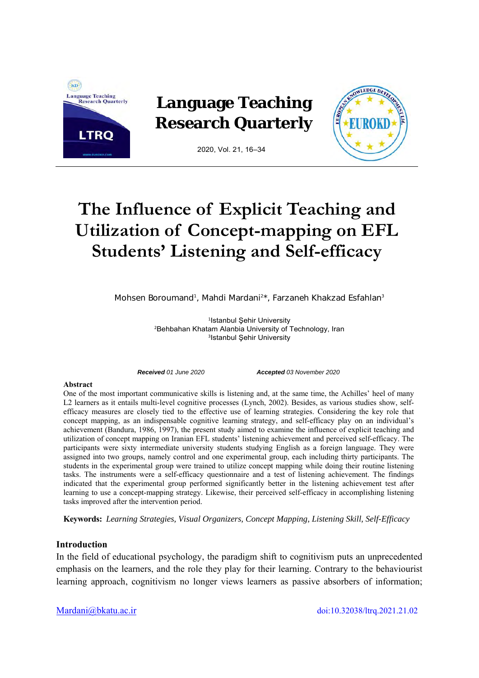

# **The Influence of Explicit Teaching and Utilization of Concept-mapping on EFL Students' Listening and Self-efficacy**

Mohsen Boroumand<sup>1</sup>, Mahdi Mardani<sup>2\*</sup>, Farzaneh Khakzad Esfahlan<sup>3</sup>

1Istanbul Şehir University 2Behbahan Khatam Alanbia University of Technology, Iran <sup>3</sup>Istanbul Şehir University

*Received 01 June 2020 Accepted 03 November 2020* 

#### **Abstract**

One of the most important communicative skills is listening and, at the same time, the Achilles' heel of many L2 learners as it entails multi-level cognitive processes (Lynch, 2002). Besides, as various studies show, selfefficacy measures are closely tied to the effective use of learning strategies. Considering the key role that concept mapping, as an indispensable cognitive learning strategy, and self-efficacy play on an individual's achievement (Bandura, 1986, 1997), the present study aimed to examine the influence of explicit teaching and utilization of concept mapping on Iranian EFL students' listening achievement and perceived self-efficacy. The participants were sixty intermediate university students studying English as a foreign language. They were assigned into two groups, namely control and one experimental group, each including thirty participants. The students in the experimental group were trained to utilize concept mapping while doing their routine listening tasks. The instruments were a self-efficacy questionnaire and a test of listening achievement. The findings indicated that the experimental group performed significantly better in the listening achievement test after learning to use a concept-mapping strategy. Likewise, their perceived self-efficacy in accomplishing listening tasks improved after the intervention period.

**Keywords:** *Learning Strategies, Visual Organizers, Concept Mapping, Listening Skill, Self-Efficacy*

### **Introduction**

In the field of educational psychology, the paradigm shift to cognitivism puts an unprecedented emphasis on the learners, and the role they play for their learning. Contrary to the behaviourist learning approach, cognitivism no longer views learners as passive absorbers of information;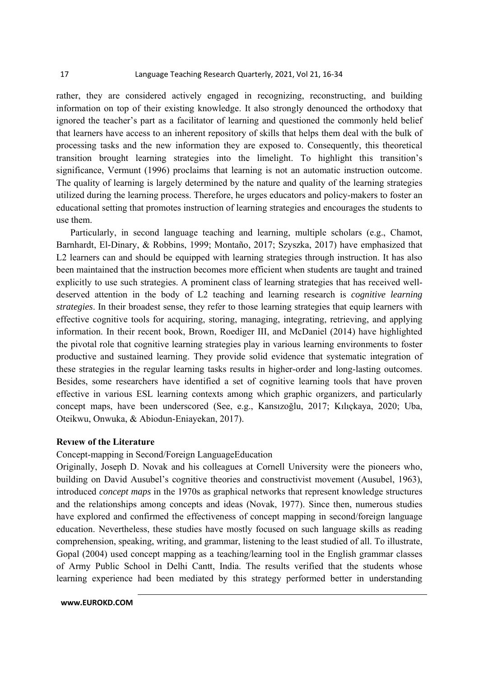rather, they are considered actively engaged in recognizing, reconstructing, and building information on top of their existing knowledge. It also strongly denounced the orthodoxy that ignored the teacher's part as a facilitator of learning and questioned the commonly held belief that learners have access to an inherent repository of skills that helps them deal with the bulk of processing tasks and the new information they are exposed to. Consequently, this theoretical transition brought learning strategies into the limelight. To highlight this transition's significance, Vermunt (1996) proclaims that learning is not an automatic instruction outcome. The quality of learning is largely determined by the nature and quality of the learning strategies utilized during the learning process. Therefore, he urges educators and policy-makers to foster an educational setting that promotes instruction of learning strategies and encourages the students to use them.

 Particularly, in second language teaching and learning, multiple scholars (e.g., Chamot, Barnhardt, El-Dinary, & Robbins, 1999; Montaño, 2017; Szyszka, 2017) have emphasized that L2 learners can and should be equipped with learning strategies through instruction. It has also been maintained that the instruction becomes more efficient when students are taught and trained explicitly to use such strategies. A prominent class of learning strategies that has received welldeserved attention in the body of L2 teaching and learning research is *cognitive learning strategies*. In their broadest sense, they refer to those learning strategies that equip learners with effective cognitive tools for acquiring, storing, managing, integrating, retrieving, and applying information. In their recent book, Brown, Roediger III, and McDaniel (2014) have highlighted the pivotal role that cognitive learning strategies play in various learning environments to foster productive and sustained learning. They provide solid evidence that systematic integration of these strategies in the regular learning tasks results in higher-order and long-lasting outcomes. Besides, some researchers have identified a set of cognitive learning tools that have proven effective in various ESL learning contexts among which graphic organizers, and particularly concept maps, have been underscored (See, e.g., Kansızoğlu, 2017; Kılıçkaya, 2020; Uba, Oteikwu, Onwuka, & Abiodun-Eniayekan, 2017).

#### **Revıew of the Literature**

Concept-mapping in Second/Foreign LanguageEducation

Originally, Joseph D. Novak and his colleagues at Cornell University were the pioneers who, building on David Ausubel's cognitive theories and constructivist movement (Ausubel, 1963), introduced *concept maps* in the 1970s as graphical networks that represent knowledge structures and the relationships among concepts and ideas (Novak, 1977). Since then, numerous studies have explored and confirmed the effectiveness of concept mapping in second/foreign language education. Nevertheless, these studies have mostly focused on such language skills as reading comprehension, speaking, writing, and grammar, listening to the least studied of all. To illustrate, Gopal (2004) used concept mapping as a teaching/learning tool in the English grammar classes of Army Public School in Delhi Cantt, India. The results verified that the students whose learning experience had been mediated by this strategy performed better in understanding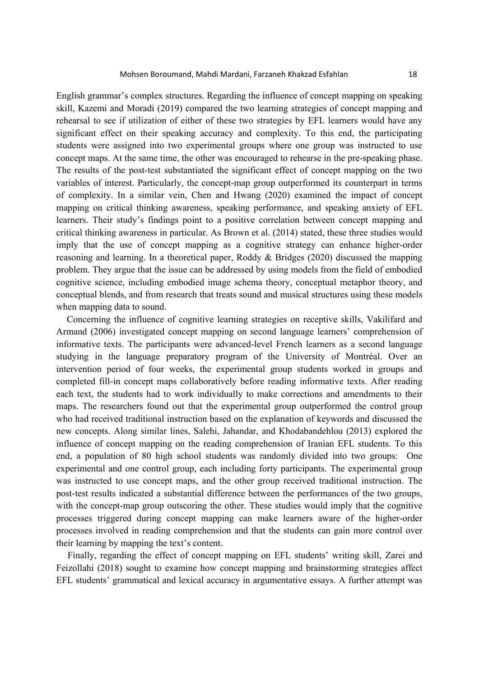English grammar's complex structures. Regarding the influence of concept mapping on speaking skill, Kazemi and Moradi (2019) compared the two learning strategies of concept mapping and rehearsal to see if utilization of either of these two strategies by EFL learners would have any significant effect on their speaking accuracy and complexity. To this end, the participating students were assigned into two experimental groups where one group was instructed to use concept maps. At the same time, the other was encouraged to rehearse in the pre-speaking phase. The results of the post-test substantiated the significant effect of concept mapping on the two variables of interest. Particularly, the concept-map group outperformed its counterpart in terms of complexity. In a similar vein, Chen and Hwang (2020) examined the impact of concept mapping on critical thinking awareness, speaking performance, and speaking anxiety of EFL learners. Their study's findings point to a positive correlation between concept mapping and critical thinking awareness in particular. As Brown et al. (2014) stated, these three studies would imply that the use of concept mapping as a cognitive strategy can enhance higher-order reasoning and learning. In a theoretical paper, Roddy & Bridges (2020) discussed the mapping problem. They argue that the issue can be addressed by using models from the field of embodied cognitive science, including embodied image schema theory, conceptual metaphor theory, and conceptual blends, and from research that treats sound and musical structures using these models when mapping data to sound.

Concerning the influence of cognitive learning strategies on receptive skills, Vakilifard and Armand (2006) investigated concept mapping on second language learners' comprehension of informative texts. The participants were advanced-level French learners as a second language studying in the language preparatory program of the University of Montréal. Over an intervention period of four weeks, the experimental group students worked in groups and completed fill-in concept maps collaboratively before reading informative texts. After reading each text, the students had to work individually to make corrections and amendments to their maps. The researchers found out that the experimental group outperformed the control group who had received traditional instruction based on the explanation of keywords and discussed the new concepts. Along similar lines, Salehi, Jahandar, and Khodabandehlou (2013) explored the influence of concept mapping on the reading comprehension of Iranian EFL students. To this end, a population of 80 high school students was randomly divided into two groups: One experimental and one control group, each including forty participants. The experimental group was instructed to use concept maps, and the other group received traditional instruction. The post-test results indicated a substantial difference between the performances of the two groups, with the concept-map group outscoring the other. These studies would imply that the cognitive processes triggered during concept mapping can make learners aware of the higher-order processes involved in reading comprehension and that the students can gain more control over their learning by mapping the text's content.

Finally, regarding the effect of concept mapping on EFL students' writing skill, Zarei and Feizollahi (2018) sought to examine how concept mapping and brainstorming strategies affect EFL students' grammatical and lexical accuracy in argumentative essays. A further attempt was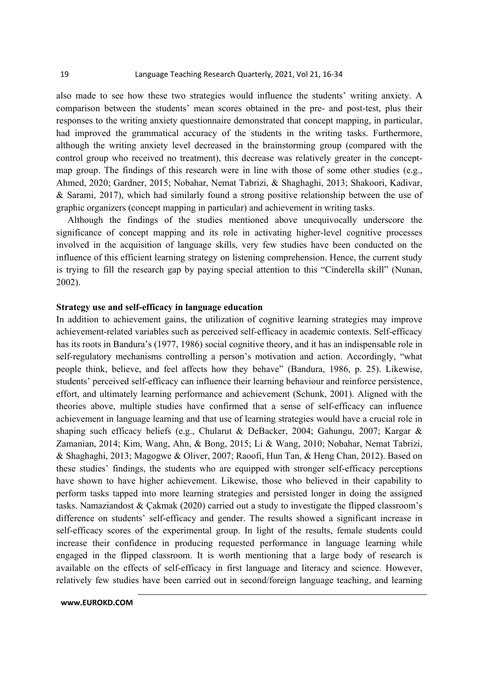also made to see how these two strategies would influence the students' writing anxiety. A comparison between the students' mean scores obtained in the pre- and post-test, plus their responses to the writing anxiety questionnaire demonstrated that concept mapping, in particular, had improved the grammatical accuracy of the students in the writing tasks. Furthermore, although the writing anxiety level decreased in the brainstorming group (compared with the control group who received no treatment), this decrease was relatively greater in the conceptmap group. The findings of this research were in line with those of some other studies (e.g., Ahmed, 2020; Gardner, 2015; Nobahar, Nemat Tabrizi, & Shaghaghi, 2013; Shakoori, Kadivar, & Sarami, 2017), which had similarly found a strong positive relationship between the use of graphic organizers (concept mapping in particular) and achievement in writing tasks.

Although the findings of the studies mentioned above unequivocally underscore the significance of concept mapping and its role in activating higher-level cognitive processes involved in the acquisition of language skills, very few studies have been conducted on the influence of this efficient learning strategy on listening comprehension. Hence, the current study is trying to fill the research gap by paying special attention to this "Cinderella skill" (Nunan, 2002).

### **Strategy use and self-efficacy in language education**

In addition to achievement gains, the utilization of cognitive learning strategies may improve achievement-related variables such as perceived self-efficacy in academic contexts. Self-efficacy has its roots in Bandura's (1977, 1986) social cognitive theory, and it has an indispensable role in self-regulatory mechanisms controlling a person's motivation and action. Accordingly, "what people think, believe, and feel affects how they behave" (Bandura, 1986, p. 25). Likewise, students' perceived self-efficacy can influence their learning behaviour and reinforce persistence, effort, and ultimately learning performance and achievement (Schunk, 2001). Aligned with the theories above, multiple studies have confirmed that a sense of self-efficacy can influence achievement in language learning and that use of learning strategies would have a crucial role in shaping such efficacy beliefs (e.g., Chularut & DeBacker, 2004; Gahungu, 2007; Kargar & Zamanian, 2014; Kim, Wang, Ahn, & Bong, 2015; Li & Wang, 2010; Nobahar, Nemat Tabrizi, & Shaghaghi, 2013; Magogwe & Oliver, 2007; Raoofi, Hun Tan, & Heng Chan, 2012). Based on these studies' findings, the students who are equipped with stronger self-efficacy perceptions have shown to have higher achievement. Likewise, those who believed in their capability to perform tasks tapped into more learning strategies and persisted longer in doing the assigned tasks. Namaziandost & Çakmak (2020) carried out a study to investigate the flipped classroom's difference on students' self-efficacy and gender. The results showed a significant increase in self-efficacy scores of the experimental group. In light of the results, female students could increase their confidence in producing requested performance in language learning while engaged in the flipped classroom. It is worth mentioning that a large body of research is available on the effects of self-efficacy in first language and literacy and science. However, relatively few studies have been carried out in second/foreign language teaching, and learning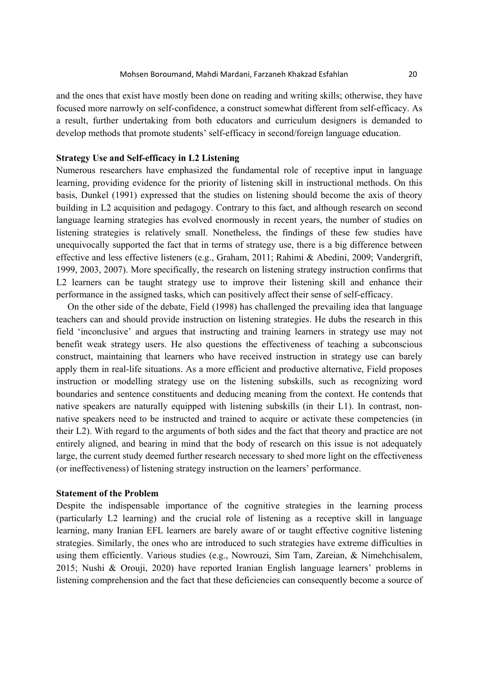and the ones that exist have mostly been done on reading and writing skills; otherwise, they have focused more narrowly on self-confidence, a construct somewhat different from self-efficacy. As a result, further undertaking from both educators and curriculum designers is demanded to develop methods that promote students' self-efficacy in second/foreign language education.

#### **Strategy Use and Self-efficacy in L2 Listening**

Numerous researchers have emphasized the fundamental role of receptive input in language learning, providing evidence for the priority of listening skill in instructional methods. On this basis, Dunkel (1991) expressed that the studies on listening should become the axis of theory building in L2 acquisition and pedagogy. Contrary to this fact, and although research on second language learning strategies has evolved enormously in recent years, the number of studies on listening strategies is relatively small. Nonetheless, the findings of these few studies have unequivocally supported the fact that in terms of strategy use, there is a big difference between effective and less effective listeners (e.g., Graham, 2011; Rahimi & Abedini, 2009; Vandergrift, 1999, 2003, 2007). More specifically, the research on listening strategy instruction confirms that L<sub>2</sub> learners can be taught strategy use to improve their listening skill and enhance their performance in the assigned tasks, which can positively affect their sense of self-efficacy.

On the other side of the debate, Field (1998) has challenged the prevailing idea that language teachers can and should provide instruction on listening strategies. He dubs the research in this field 'inconclusive' and argues that instructing and training learners in strategy use may not benefit weak strategy users. He also questions the effectiveness of teaching a subconscious construct, maintaining that learners who have received instruction in strategy use can barely apply them in real-life situations. As a more efficient and productive alternative, Field proposes instruction or modelling strategy use on the listening subskills, such as recognizing word boundaries and sentence constituents and deducing meaning from the context. He contends that native speakers are naturally equipped with listening subskills (in their L1). In contrast, nonnative speakers need to be instructed and trained to acquire or activate these competencies (in their L2). With regard to the arguments of both sides and the fact that theory and practice are not entirely aligned, and bearing in mind that the body of research on this issue is not adequately large, the current study deemed further research necessary to shed more light on the effectiveness (or ineffectiveness) of listening strategy instruction on the learners' performance.

#### **Statement of the Problem**

Despite the indispensable importance of the cognitive strategies in the learning process (particularly L2 learning) and the crucial role of listening as a receptive skill in language learning, many Iranian EFL learners are barely aware of or taught effective cognitive listening strategies. Similarly, the ones who are introduced to such strategies have extreme difficulties in using them efficiently. Various studies (e.g., Nowrouzi, Sim Tam, Zareian, & Nimehchisalem, 2015; Nushi & Orouji, 2020) have reported Iranian English language learners' problems in listening comprehension and the fact that these deficiencies can consequently become a source of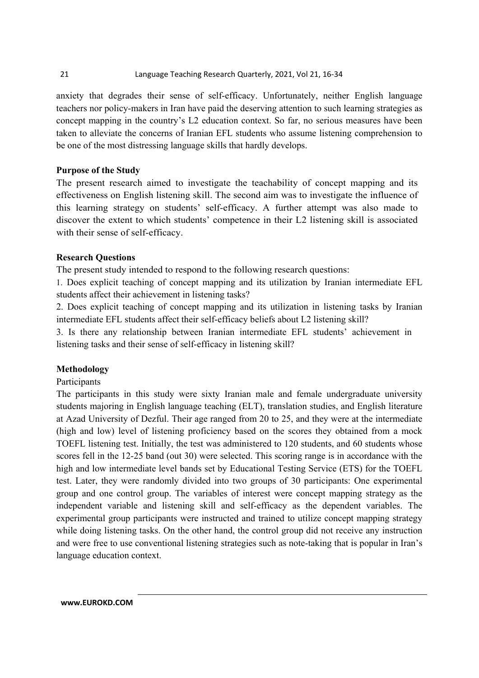# 21 Language Teaching Research Quarterly, 2021, Vol 21, 16‐34

anxiety that degrades their sense of self-efficacy. Unfortunately, neither English language teachers nor policy-makers in Iran have paid the deserving attention to such learning strategies as concept mapping in the country's L2 education context. So far, no serious measures have been taken to alleviate the concerns of Iranian EFL students who assume listening comprehension to be one of the most distressing language skills that hardly develops.

# **Purpose of the Study**

The present research aimed to investigate the teachability of concept mapping and its effectiveness on English listening skill. The second aim was to investigate the influence of this learning strategy on students' self-efficacy. A further attempt was also made to discover the extent to which students' competence in their L2 listening skill is associated with their sense of self-efficacy.

# **Research Questions**

The present study intended to respond to the following research questions:

1. Does explicit teaching of concept mapping and its utilization by Iranian intermediate EFL students affect their achievement in listening tasks?

2. Does explicit teaching of concept mapping and its utilization in listening tasks by Iranian intermediate EFL students affect their self-efficacy beliefs about L2 listening skill?

3. Is there any relationship between Iranian intermediate EFL students' achievement in listening tasks and their sense of self-efficacy in listening skill?

# **Methodology**

# Participants

The participants in this study were sixty Iranian male and female undergraduate university students majoring in English language teaching (ELT), translation studies, and English literature at Azad University of Dezful. Their age ranged from 20 to 25, and they were at the intermediate (high and low) level of listening proficiency based on the scores they obtained from a mock TOEFL listening test. Initially, the test was administered to 120 students, and 60 students whose scores fell in the 12-25 band (out 30) were selected. This scoring range is in accordance with the high and low intermediate level bands set by Educational Testing Service (ETS) for the TOEFL test. Later, they were randomly divided into two groups of 30 participants: One experimental group and one control group. The variables of interest were concept mapping strategy as the independent variable and listening skill and self-efficacy as the dependent variables. The experimental group participants were instructed and trained to utilize concept mapping strategy while doing listening tasks. On the other hand, the control group did not receive any instruction and were free to use conventional listening strategies such as note-taking that is popular in Iran's language education context.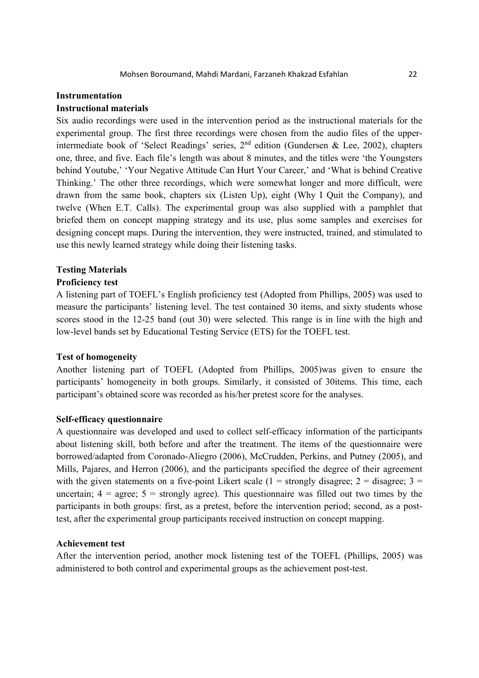#### **Instrumentation**

#### **Instructional materials**

Six audio recordings were used in the intervention period as the instructional materials for the experimental group. The first three recordings were chosen from the audio files of the upperintermediate book of 'Select Readings' series,  $2<sup>nd</sup>$  edition (Gundersen & Lee, 2002), chapters one, three, and five. Each file's length was about 8 minutes, and the titles were 'the Youngsters behind Youtube,' 'Your Negative Attitude Can Hurt Your Career,' and 'What is behind Creative Thinking.' The other three recordings, which were somewhat longer and more difficult, were drawn from the same book, chapters six (Listen Up), eight (Why I Quit the Company), and twelve (When E.T. Calls). The experimental group was also supplied with a pamphlet that briefed them on concept mapping strategy and its use, plus some samples and exercises for designing concept maps. During the intervention, they were instructed, trained, and stimulated to use this newly learned strategy while doing their listening tasks.

### **Testing Materials**

#### **Proficiency test**

A listening part of TOEFL's English proficiency test (Adopted from Phillips, 2005) was used to measure the participants' listening level. The test contained 30 items, and sixty students whose scores stood in the 12-25 band (out 30) were selected. This range is in line with the high and low-level bands set by Educational Testing Service (ETS) for the TOEFL test.

#### **Test of homogeneity**

Another listening part of TOEFL (Adopted from Phillips, 2005)was given to ensure the participants' homogeneity in both groups. Similarly, it consisted of 30items. This time, each participant's obtained score was recorded as his/her pretest score for the analyses.

#### **Self-efficacy questionnaire**

A questionnaire was developed and used to collect self-efficacy information of the participants about listening skill, both before and after the treatment. The items of the questionnaire were borrowed/adapted from Coronado-Aliegro (2006), McCrudden, Perkins, and Putney (2005), and Mills, Pajares, and Herron (2006), and the participants specified the degree of their agreement with the given statements on a five-point Likert scale (1 = strongly disagree; 2 = disagree; 3 = uncertain;  $4 = \text{agree}$ ;  $5 = \text{strongly agree}$ ). This questionnaire was filled out two times by the participants in both groups: first, as a pretest, before the intervention period; second, as a posttest, after the experimental group participants received instruction on concept mapping.

#### **Achievement test**

After the intervention period, another mock listening test of the TOEFL (Phillips, 2005) was administered to both control and experimental groups as the achievement post-test.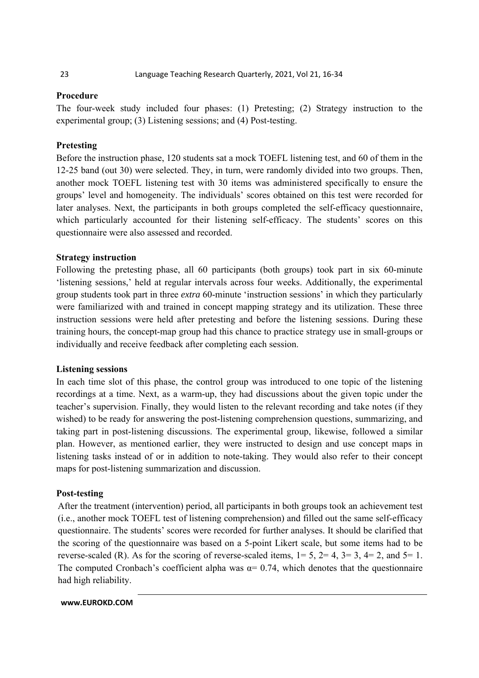# **Procedure**

The four-week study included four phases: (1) Pretesting; (2) Strategy instruction to the experimental group; (3) Listening sessions; and (4) Post-testing.

# **Pretesting**

Before the instruction phase, 120 students sat a mock TOEFL listening test, and 60 of them in the 12-25 band (out 30) were selected. They, in turn, were randomly divided into two groups. Then, another mock TOEFL listening test with 30 items was administered specifically to ensure the groups' level and homogeneity. The individuals' scores obtained on this test were recorded for later analyses. Next, the participants in both groups completed the self-efficacy questionnaire, which particularly accounted for their listening self-efficacy. The students' scores on this questionnaire were also assessed and recorded.

# **Strategy instruction**

Following the pretesting phase, all 60 participants (both groups) took part in six 60-minute 'listening sessions,' held at regular intervals across four weeks. Additionally, the experimental group students took part in three *extra* 60-minute 'instruction sessions' in which they particularly were familiarized with and trained in concept mapping strategy and its utilization. These three instruction sessions were held after pretesting and before the listening sessions. During these training hours, the concept-map group had this chance to practice strategy use in small-groups or individually and receive feedback after completing each session.

# **Listening sessions**

In each time slot of this phase, the control group was introduced to one topic of the listening recordings at a time. Next, as a warm-up, they had discussions about the given topic under the teacher's supervision. Finally, they would listen to the relevant recording and take notes (if they wished) to be ready for answering the post-listening comprehension questions, summarizing, and taking part in post-listening discussions. The experimental group, likewise, followed a similar plan. However, as mentioned earlier, they were instructed to design and use concept maps in listening tasks instead of or in addition to note-taking. They would also refer to their concept maps for post-listening summarization and discussion.

# **Post-testing**

After the treatment (intervention) period, all participants in both groups took an achievement test (i.e., another mock TOEFL test of listening comprehension) and filled out the same self-efficacy questionnaire. The students' scores were recorded for further analyses. It should be clarified that the scoring of the questionnaire was based on a 5-point Likert scale, but some items had to be reverse-scaled (R). As for the scoring of reverse-scaled items,  $1= 5$ ,  $2= 4$ ,  $3= 3$ ,  $4= 2$ , and  $5= 1$ . The computed Cronbach's coefficient alpha was  $\alpha$ = 0.74, which denotes that the questionnaire had high reliability.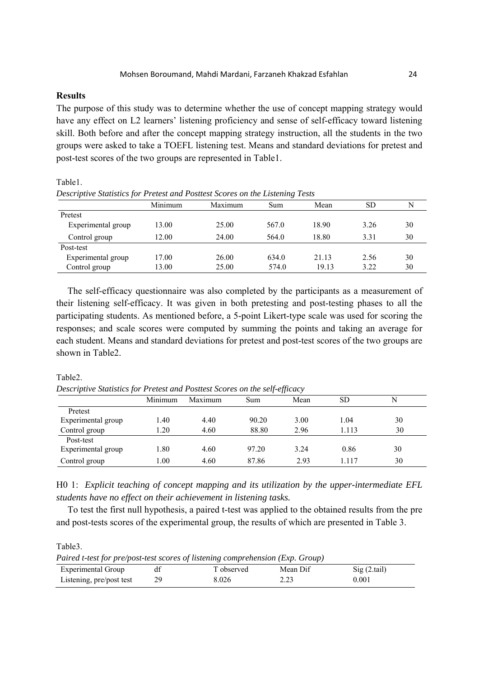# **Results**

Table1.

The purpose of this study was to determine whether the use of concept mapping strategy would have any effect on L2 learners' listening proficiency and sense of self-efficacy toward listening skill. Both before and after the concept mapping strategy instruction, all the students in the two groups were asked to take a TOEFL listening test. Means and standard deviations for pretest and post-test scores of the two groups are represented in Table1.

| Descriptive Statistics for Pretest and Posttest Scores on the Listening Tests |         |         |       |       |           |    |  |  |
|-------------------------------------------------------------------------------|---------|---------|-------|-------|-----------|----|--|--|
|                                                                               | Minimum | Maximum | Sum   | Mean  | <b>SD</b> | N  |  |  |
| Pretest                                                                       |         |         |       |       |           |    |  |  |
| Experimental group                                                            | 13.00   | 25.00   | 567.0 | 18.90 | 3.26      | 30 |  |  |
| Control group                                                                 | 12.00   | 24.00   | 564.0 | 18.80 | 3.31      | 30 |  |  |
| Post-test                                                                     |         |         |       |       |           |    |  |  |
| Experimental group                                                            | 17.00   | 26.00   | 634.0 | 21.13 | 2.56      | 30 |  |  |
| Control group                                                                 | 13.00   | 25.00   | 574.0 | 19.13 | 3.22      | 30 |  |  |

The self-efficacy questionnaire was also completed by the participants as a measurement of their listening self-efficacy. It was given in both pretesting and post-testing phases to all the participating students. As mentioned before, a 5-point Likert-type scale was used for scoring the responses; and scale scores were computed by summing the points and taking an average for each student. Means and standard deviations for pretest and post-test scores of the two groups are shown in Table2.

#### Table2.

*Descriptive Statistics for Pretest and Posttest Scores on the self-efficacy*

|                    | Minimum | Maximum | Sum   | Mean | SD    |    |
|--------------------|---------|---------|-------|------|-------|----|
| Pretest            |         |         |       |      |       |    |
| Experimental group | .40     | 4.40    | 90.20 | 3.00 | 1.04  | 30 |
| Control group      | .20     | 4.60    | 88.80 | 2.96 | 1.113 | 30 |
| Post-test          |         |         |       |      |       |    |
| Experimental group | .80     | 4.60    | 97.20 | 3.24 | 0.86  | 30 |
| Control group      | .00     | 4.60    | 87.86 | 2.93 | 1.117 | 30 |

H0 1: *Explicit teaching of concept mapping and its utilization by the upper-intermediate EFL students have no effect on their achievement in listening tasks.* 

To test the first null hypothesis, a paired t-test was applied to the obtained results from the pre and post-tests scores of the experimental group, the results of which are presented in Table 3.

Table3.

| Paired t-test for pre/post-test scores of listening comprehension (Exp. Group) |    |            |          |                              |  |  |  |
|--------------------------------------------------------------------------------|----|------------|----------|------------------------------|--|--|--|
| <b>Experimental Group</b>                                                      |    | T observed | Mean Dif | $\text{Sig}(2, \text{tail})$ |  |  |  |
| Listening, pre/post test                                                       | 29 | 8.026      | 2.23     | 0.001                        |  |  |  |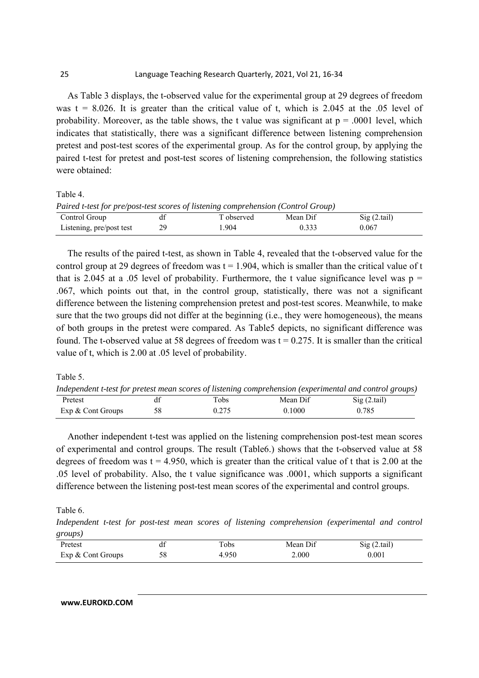As Table 3 displays, the t-observed value for the experimental group at 29 degrees of freedom was  $t = 8.026$ . It is greater than the critical value of t, which is 2.045 at the .05 level of probability. Moreover, as the table shows, the t value was significant at  $p = .0001$  level, which indicates that statistically, there was a significant difference between listening comprehension pretest and post-test scores of the experimental group. As for the control group, by applying the paired t-test for pretest and post-test scores of listening comprehension, the following statistics were obtained:

Table 4.

| Paired t-test for pre/post-test scores of listening comprehension (Control Group) |  |  |  |
|-----------------------------------------------------------------------------------|--|--|--|
|-----------------------------------------------------------------------------------|--|--|--|

| Control Group            |    | T observed | Mean Dif | Sig(2.tail) |
|--------------------------|----|------------|----------|-------------|
| Listening, pre/post test | 29 | .904       | 0.33?    | 0.067       |

The results of the paired t-test, as shown in Table 4, revealed that the t-observed value for the control group at 29 degrees of freedom was  $t = 1.904$ , which is smaller than the critical value of t that is 2.045 at a .05 level of probability. Furthermore, the t value significance level was  $p =$ .067, which points out that, in the control group, statistically, there was not a significant difference between the listening comprehension pretest and post-test scores. Meanwhile, to make sure that the two groups did not differ at the beginning (i.e., they were homogeneous), the means of both groups in the pretest were compared. As Table5 depicts, no significant difference was found. The t-observed value at 58 degrees of freedom was  $t = 0.275$ . It is smaller than the critical value of t, which is 2.00 at .05 level of probability.

Table 5.

*Independent t-test for pretest mean scores of listening comprehension (experimental and control groups)*  Pretest df Tobs Mean Dif Sig (2.tail) Exp & Cont Groups 58 0.275 0.1000 0.785

Another independent t-test was applied on the listening comprehension post-test mean scores of experimental and control groups. The result (Table6.) shows that the t-observed value at 58 degrees of freedom was  $t = 4.950$ , which is greater than the critical value of t that is 2.00 at the .05 level of probability. Also, the t value significance was .0001, which supports a significant difference between the listening post-test mean scores of the experimental and control groups.

Table 6.

*Independent t-test for post-test mean scores of listening comprehension (experimental and control groups)* 

| Pretest           | <b>u</b> | $\mathbf{r}$<br>Tobs | Mean Dif | Sig(2.tail) |
|-------------------|----------|----------------------|----------|-------------|
| Exp & Cont Groups | 58       | 4.950                | 2.000    | 0.001       |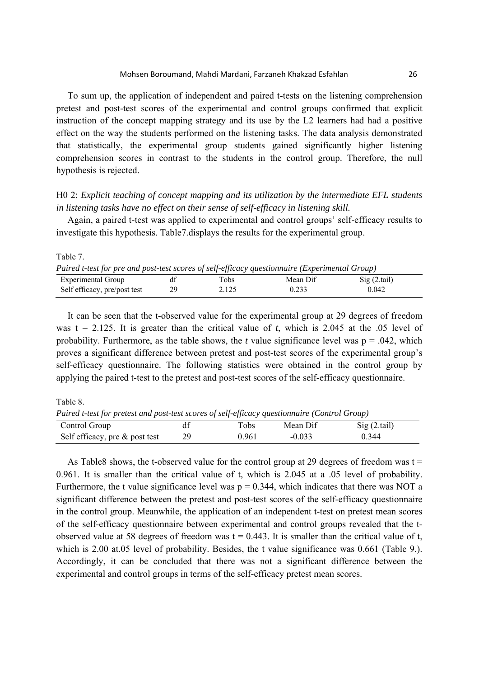To sum up, the application of independent and paired t-tests on the listening comprehension pretest and post-test scores of the experimental and control groups confirmed that explicit instruction of the concept mapping strategy and its use by the L2 learners had had a positive effect on the way the students performed on the listening tasks. The data analysis demonstrated that statistically, the experimental group students gained significantly higher listening comprehension scores in contrast to the students in the control group. Therefore, the null hypothesis is rejected.

H0 2: *Explicit teaching of concept mapping and its utilization by the intermediate EFL students in listening tasks have no effect on their sense of self-efficacy in listening skill.*

Again, a paired t-test was applied to experimental and control groups' self-efficacy results to investigate this hypothesis. Table7.displays the results for the experimental group.

| Table $\ell$ .                                                                                 |    |       |          |                              |  |
|------------------------------------------------------------------------------------------------|----|-------|----------|------------------------------|--|
| Paired t-test for pre and post-test scores of self-efficacy questionnaire (Experimental Group) |    |       |          |                              |  |
| Experimental Group                                                                             |    | Tobs  | Mean Dif | $\text{Sig}(2, \text{tail})$ |  |
| Self efficacy, pre/post test                                                                   | 29 | 2.125 | 0.233    | 0.042                        |  |

It can be seen that the t-observed value for the experimental group at 29 degrees of freedom was  $t = 2.125$ . It is greater than the critical value of *t*, which is 2.045 at the .05 level of probability. Furthermore, as the table shows, the *t* value significance level was  $p = .042$ , which proves a significant difference between pretest and post-test scores of the experimental group's self-efficacy questionnaire. The following statistics were obtained in the control group by applying the paired t-test to the pretest and post-test scores of the self-efficacy questionnaire.

Table 8.

 $T<sub>1</sub>$   $T<sub>2</sub>$ 

*Paired t-test for pretest and post-test scores of self-efficacy questionnaire (Control Group)*  Control Group df Tobs Mean Dif Sig (2.tail)

Self efficacy, pre & post test 29 0.961 -0.033 0.344

As Table8 shows, the t-observed value for the control group at 29 degrees of freedom was  $t =$ 0.961. It is smaller than the critical value of t, which is 2.045 at a .05 level of probability. Furthermore, the t value significance level was  $p = 0.344$ , which indicates that there was NOT a significant difference between the pretest and post-test scores of the self-efficacy questionnaire in the control group. Meanwhile, the application of an independent t-test on pretest mean scores of the self-efficacy questionnaire between experimental and control groups revealed that the tobserved value at 58 degrees of freedom was  $t = 0.443$ . It is smaller than the critical value of t, which is 2.00 at.05 level of probability. Besides, the t value significance was 0.661 (Table 9.). Accordingly, it can be concluded that there was not a significant difference between the experimental and control groups in terms of the self-efficacy pretest mean scores.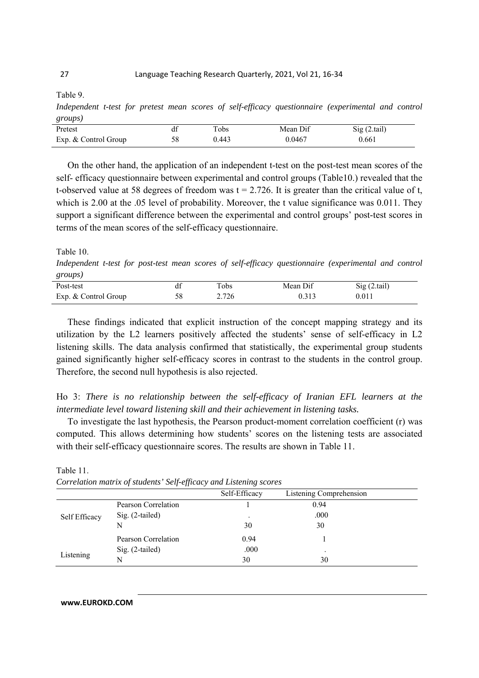Table 9.

*Independent t-test for pretest mean scores of self-efficacy questionnaire (experimental and control groups)* 

| Pretest              | Tobs  | Mean Dif | Sig(2.tail) |
|----------------------|-------|----------|-------------|
| Exp. & Control Group | ).443 | 0.0467   | 0.661       |

On the other hand, the application of an independent t-test on the post-test mean scores of the self- efficacy questionnaire between experimental and control groups (Table10.) revealed that the t-observed value at 58 degrees of freedom was  $t = 2.726$ . It is greater than the critical value of t, which is 2.00 at the .05 level of probability. Moreover, the t value significance was 0.011. They support a significant difference between the experimental and control groups' post-test scores in terms of the mean scores of the self-efficacy questionnaire.

Table 10.

*Independent t-test for post-test mean scores of self-efficacy questionnaire (experimental and control groups)* 

| $\sim$               |                  |          |             |
|----------------------|------------------|----------|-------------|
| Post-test            | $\tau_{\rm obs}$ | Mean Dif | Sig(2.tail) |
| Exp. & Control Group | 2.726            | 0.313    | 0.011       |

These findings indicated that explicit instruction of the concept mapping strategy and its utilization by the L2 learners positively affected the students' sense of self-efficacy in L2 listening skills. The data analysis confirmed that statistically, the experimental group students gained significantly higher self-efficacy scores in contrast to the students in the control group. Therefore, the second null hypothesis is also rejected.

Ho 3: *There is no relationship between the self-efficacy of Iranian EFL learners at the intermediate level toward listening skill and their achievement in listening tasks.*

To investigate the last hypothesis, the Pearson product-moment correlation coefficient (r) was computed. This allows determining how students' scores on the listening tests are associated with their self-efficacy questionnaire scores. The results are shown in Table 11.

|               |                     | Self-Efficacy | Listening Comprehension |  |
|---------------|---------------------|---------------|-------------------------|--|
|               | Pearson Correlation |               | 0.94                    |  |
| Self Efficacy | Sig. (2-tailed)     |               | .000                    |  |
|               | N                   | 30            | 30                      |  |
|               | Pearson Correlation | 0.94          |                         |  |
|               | $Sig. (2-tailed)$   | .000          | ٠                       |  |
| Listening     |                     | 30            | 30                      |  |

Table 11. *Correlation matrix of students' Self-efficacy and Listening scores*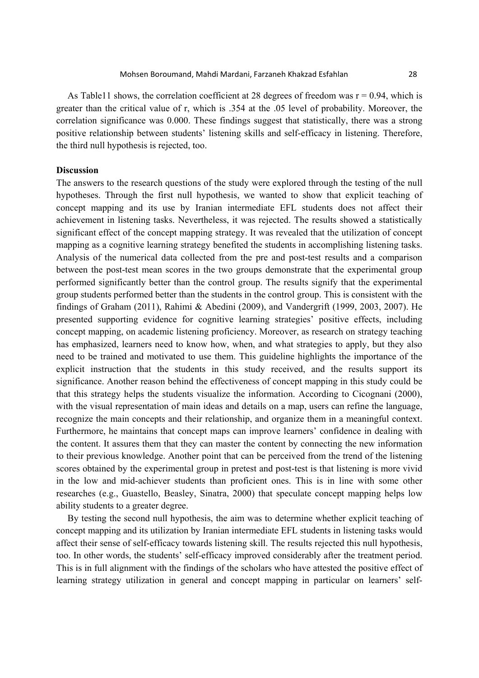As Table11 shows, the correlation coefficient at 28 degrees of freedom was  $r = 0.94$ , which is greater than the critical value of r, which is .354 at the .05 level of probability. Moreover, the correlation significance was 0.000. These findings suggest that statistically, there was a strong positive relationship between students' listening skills and self-efficacy in listening. Therefore, the third null hypothesis is rejected, too.

#### **Discussion**

The answers to the research questions of the study were explored through the testing of the null hypotheses. Through the first null hypothesis, we wanted to show that explicit teaching of concept mapping and its use by Iranian intermediate EFL students does not affect their achievement in listening tasks. Nevertheless, it was rejected. The results showed a statistically significant effect of the concept mapping strategy. It was revealed that the utilization of concept mapping as a cognitive learning strategy benefited the students in accomplishing listening tasks. Analysis of the numerical data collected from the pre and post-test results and a comparison between the post-test mean scores in the two groups demonstrate that the experimental group performed significantly better than the control group. The results signify that the experimental group students performed better than the students in the control group. This is consistent with the findings of Graham (2011), Rahimi & Abedini (2009), and Vandergrift (1999, 2003, 2007). He presented supporting evidence for cognitive learning strategies' positive effects, including concept mapping, on academic listening proficiency. Moreover, as research on strategy teaching has emphasized, learners need to know how, when, and what strategies to apply, but they also need to be trained and motivated to use them. This guideline highlights the importance of the explicit instruction that the students in this study received, and the results support its significance. Another reason behind the effectiveness of concept mapping in this study could be that this strategy helps the students visualize the information. According to Cicognani (2000), with the visual representation of main ideas and details on a map, users can refine the language, recognize the main concepts and their relationship, and organize them in a meaningful context. Furthermore, he maintains that concept maps can improve learners' confidence in dealing with the content. It assures them that they can master the content by connecting the new information to their previous knowledge. Another point that can be perceived from the trend of the listening scores obtained by the experimental group in pretest and post-test is that listening is more vivid in the low and mid-achiever students than proficient ones. This is in line with some other researches (e.g., Guastello, Beasley, Sinatra, 2000) that speculate concept mapping helps low ability students to a greater degree.

By testing the second null hypothesis, the aim was to determine whether explicit teaching of concept mapping and its utilization by Iranian intermediate EFL students in listening tasks would affect their sense of self-efficacy towards listening skill. The results rejected this null hypothesis, too. In other words, the students' self-efficacy improved considerably after the treatment period. This is in full alignment with the findings of the scholars who have attested the positive effect of learning strategy utilization in general and concept mapping in particular on learners' self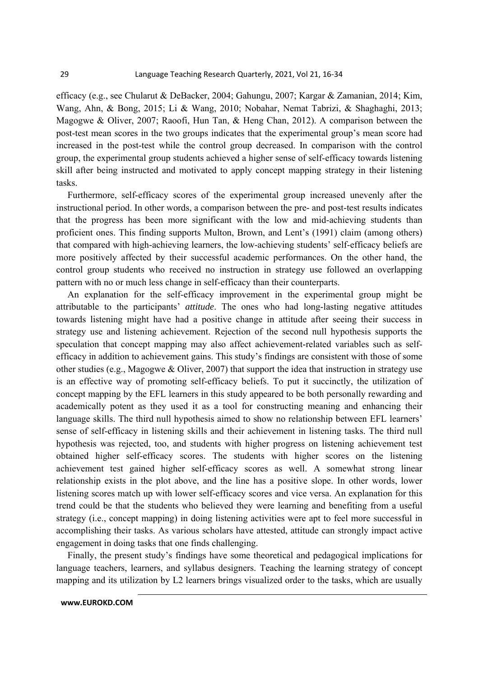efficacy (e.g., see Chularut & DeBacker, 2004; Gahungu, 2007; Kargar & Zamanian, 2014; Kim, Wang, Ahn, & Bong, 2015; Li & Wang, 2010; Nobahar, Nemat Tabrizi, & Shaghaghi, 2013; Magogwe & Oliver, 2007; Raoofi, Hun Tan, & Heng Chan, 2012). A comparison between the post-test mean scores in the two groups indicates that the experimental group's mean score had increased in the post-test while the control group decreased. In comparison with the control group, the experimental group students achieved a higher sense of self-efficacy towards listening skill after being instructed and motivated to apply concept mapping strategy in their listening tasks.

Furthermore, self-efficacy scores of the experimental group increased unevenly after the instructional period. In other words, a comparison between the pre- and post-test results indicates that the progress has been more significant with the low and mid-achieving students than proficient ones. This finding supports Multon, Brown, and Lent's (1991) claim (among others) that compared with high-achieving learners, the low-achieving students' self-efficacy beliefs are more positively affected by their successful academic performances. On the other hand, the control group students who received no instruction in strategy use followed an overlapping pattern with no or much less change in self-efficacy than their counterparts.

An explanation for the self-efficacy improvement in the experimental group might be attributable to the participants' *attitude*. The ones who had long-lasting negative attitudes towards listening might have had a positive change in attitude after seeing their success in strategy use and listening achievement. Rejection of the second null hypothesis supports the speculation that concept mapping may also affect achievement-related variables such as selfefficacy in addition to achievement gains. This study's findings are consistent with those of some other studies (e.g., Magogwe & Oliver, 2007) that support the idea that instruction in strategy use is an effective way of promoting self-efficacy beliefs. To put it succinctly, the utilization of concept mapping by the EFL learners in this study appeared to be both personally rewarding and academically potent as they used it as a tool for constructing meaning and enhancing their language skills. The third null hypothesis aimed to show no relationship between EFL learners' sense of self-efficacy in listening skills and their achievement in listening tasks. The third null hypothesis was rejected, too, and students with higher progress on listening achievement test obtained higher self-efficacy scores. The students with higher scores on the listening achievement test gained higher self-efficacy scores as well. A somewhat strong linear relationship exists in the plot above, and the line has a positive slope. In other words, lower listening scores match up with lower self-efficacy scores and vice versa. An explanation for this trend could be that the students who believed they were learning and benefiting from a useful strategy (i.e., concept mapping) in doing listening activities were apt to feel more successful in accomplishing their tasks. As various scholars have attested, attitude can strongly impact active engagement in doing tasks that one finds challenging.

Finally, the present study's findings have some theoretical and pedagogical implications for language teachers, learners, and syllabus designers. Teaching the learning strategy of concept mapping and its utilization by L2 learners brings visualized order to the tasks, which are usually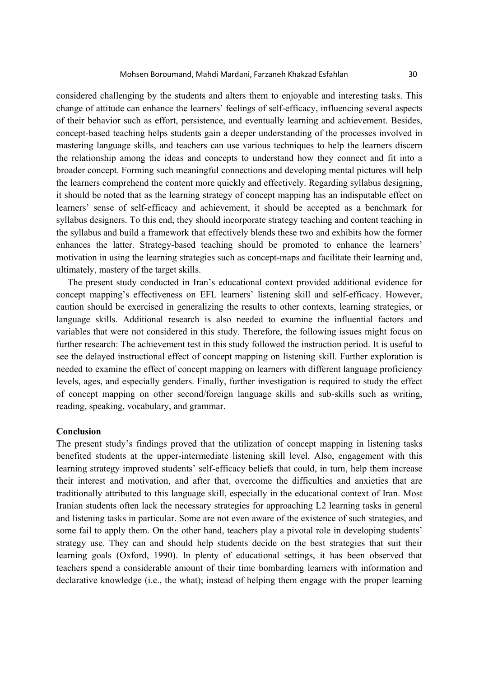considered challenging by the students and alters them to enjoyable and interesting tasks. This change of attitude can enhance the learners' feelings of self-efficacy, influencing several aspects of their behavior such as effort, persistence, and eventually learning and achievement. Besides, concept-based teaching helps students gain a deeper understanding of the processes involved in mastering language skills, and teachers can use various techniques to help the learners discern the relationship among the ideas and concepts to understand how they connect and fit into a broader concept. Forming such meaningful connections and developing mental pictures will help the learners comprehend the content more quickly and effectively. Regarding syllabus designing, it should be noted that as the learning strategy of concept mapping has an indisputable effect on learners' sense of self-efficacy and achievement, it should be accepted as a benchmark for syllabus designers. To this end, they should incorporate strategy teaching and content teaching in the syllabus and build a framework that effectively blends these two and exhibits how the former enhances the latter. Strategy-based teaching should be promoted to enhance the learners' motivation in using the learning strategies such as concept-maps and facilitate their learning and, ultimately, mastery of the target skills.

The present study conducted in Iran's educational context provided additional evidence for concept mapping's effectiveness on EFL learners' listening skill and self-efficacy. However, caution should be exercised in generalizing the results to other contexts, learning strategies, or language skills. Additional research is also needed to examine the influential factors and variables that were not considered in this study. Therefore, the following issues might focus on further research: The achievement test in this study followed the instruction period. It is useful to see the delayed instructional effect of concept mapping on listening skill. Further exploration is needed to examine the effect of concept mapping on learners with different language proficiency levels, ages, and especially genders. Finally, further investigation is required to study the effect of concept mapping on other second/foreign language skills and sub-skills such as writing, reading, speaking, vocabulary, and grammar.

#### **Conclusion**

The present study's findings proved that the utilization of concept mapping in listening tasks benefited students at the upper-intermediate listening skill level. Also, engagement with this learning strategy improved students' self-efficacy beliefs that could, in turn, help them increase their interest and motivation, and after that, overcome the difficulties and anxieties that are traditionally attributed to this language skill, especially in the educational context of Iran. Most Iranian students often lack the necessary strategies for approaching L2 learning tasks in general and listening tasks in particular. Some are not even aware of the existence of such strategies, and some fail to apply them. On the other hand, teachers play a pivotal role in developing students' strategy use. They can and should help students decide on the best strategies that suit their learning goals (Oxford, 1990). In plenty of educational settings, it has been observed that teachers spend a considerable amount of their time bombarding learners with information and declarative knowledge (i.e., the what); instead of helping them engage with the proper learning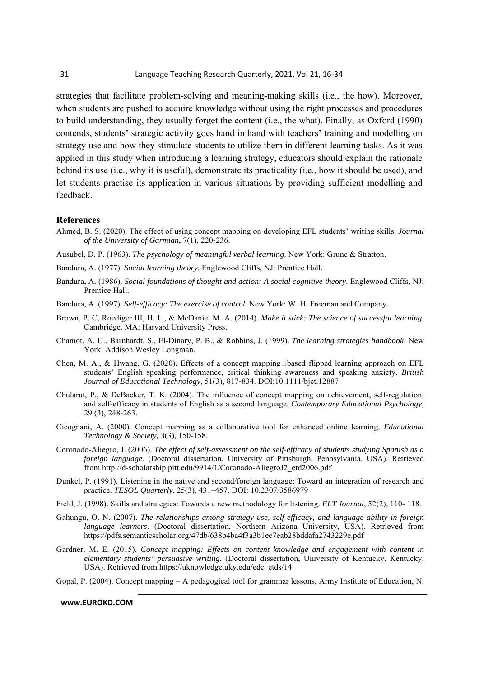strategies that facilitate problem-solving and meaning-making skills (i.e., the how). Moreover, when students are pushed to acquire knowledge without using the right processes and procedures to build understanding, they usually forget the content (i.e., the what). Finally, as Oxford (1990) contends, students' strategic activity goes hand in hand with teachers' training and modelling on strategy use and how they stimulate students to utilize them in different learning tasks. As it was applied in this study when introducing a learning strategy, educators should explain the rationale behind its use (i.e., why it is useful), demonstrate its practicality (i.e., how it should be used), and let students practise its application in various situations by providing sufficient modelling and feedback.

#### **References**

- Ahmed, B. S. (2020). The effect of using concept mapping on developing EFL students' writing skills. *Journal of the University of Garmian*, 7(1), 220-236.
- Ausubel, D. P. (1963). *The psychology of meaningful verbal learning*. New York: Grune & Stratton.
- Bandura, A. (1977). *Social learning theory*. Englewood Cliffs, NJ: Prentice Hall.
- Bandura, A. (1986). *Social foundations of thought and action: A social cognitive theory*. Englewood Cliffs, NJ: Prentice Hall.
- Bandura, A. (1997). *Self-efficacy: The exercise of control*. New York: W. H. Freeman and Company.
- Brown, P. C, Roediger III, H. L., & McDaniel M. A. (2014). *Make it stick: The science of successful learning.* Cambridge, MA: Harvard University Press.
- Chamot, A. U., Barnhardt. S., El-Dinary, P. B., & Robbins, J. (1999). *The learning strategies handbook*. New York: Addison Wesley Longman.
- Chen, M. A., & Hwang, G. (2020). Effects of a concept mapping based flipped learning approach on EFL students' English speaking performance, critical thinking awareness and speaking anxiety. *British Journal of Educational Technology*, 51(3), 817-834. DOI:10.1111/bjet.12887
- Chularut, P., & DeBacker, T. K. (2004). The influence of concept mapping on achievement, self-regulation, and self-efficacy in students of English as a second language. *Contemporary Educational Psychology,*  29 (3), 248-263.
- Cicognani, A. (2000). Concept mapping as a collaborative tool for enhanced online learning. *Educational Technology & Society, 3*(3), 150-158.
- Coronado-Aliegro, J. (2006). *The effect of self-assessment on the self-efficacy of students studying Spanish as a foreign language*. (Doctoral dissertation, University of Pittsburgh, Pennsylvania, USA). Retrieved from http://d-scholarship.pitt.edu/9914/1/Coronado-AliegroJ2\_etd2006.pdf
- Dunkel, P. (1991). Listening in the native and second/foreign language: Toward an integration of research and practice. *TESOL Quarterly*, 25(3), 431–457. DOI: 10.2307/3586979
- Field, J. (1998). Skills and strategies: Towards a new methodology for listening. *ELT Journal*, 52(2), 110- 118.
- Gahungu, O. N. (2007). *The relationships among strategy use, self-efficacy, and language ability in foreign language learners*. (Doctoral dissertation, Northern Arizona University, USA). Retrieved from https://pdfs.semanticscholar.org/47db/638b4ba4f3a3b1ec7eab28bddafa2743229e.pdf
- Gardner, M. E. (2015). *Concept mapping: Effects on content knowledge and engagement with content in elementary students' persuasive writing*. (Doctoral dissertation, University of Kentucky, Kentucky, USA). Retrieved from https://uknowledge.uky.edu/edc\_etds/14

Gopal, P. (2004). Concept mapping – A pedagogical tool for grammar lessons, Army Institute of Education, N.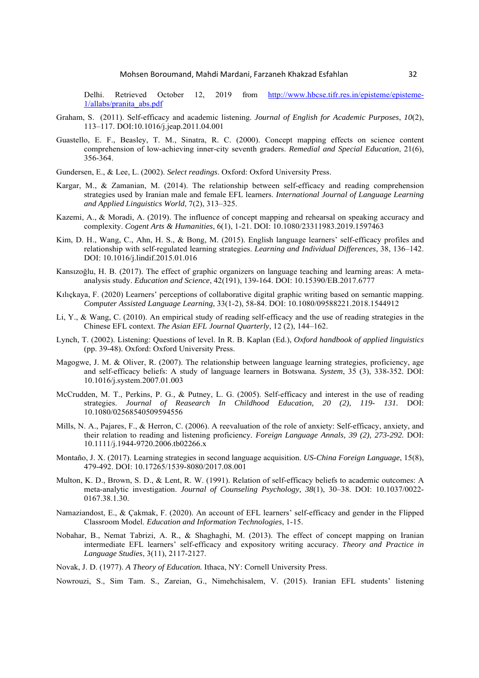Delhi. Retrieved October 12, 2019 from http://www.hbcse.tifr.res.in/episteme/episteme-1/allabs/pranita\_abs.pdf

- Graham, S. (2011). Self-efficacy and academic listening. *Journal of English for Academic Purposes*, *10*(2), 113–117. DOI:10.1016/j.jeap.2011.04.001
- Guastello, E. F., Beasley, T. M., Sinatra, R. C. (2000). Concept mapping effects on science content comprehension of low-achieving inner-city seventh graders. *Remedial and Special Education*, 21(6), 356-364.
- Gundersen, E., & Lee, L. (2002). *Select readings*. Oxford: Oxford University Press.
- Kargar, M., & Zamanian, M. (2014). The relationship between self-efficacy and reading comprehension strategies used by Iranian male and female EFL learners. *International Journal of Language Learning and Applied Linguistics World*, 7(2), 313–325.
- Kazemi, A., & Moradi, A. (2019). The influence of concept mapping and rehearsal on speaking accuracy and complexity. *Cogent Arts & Humanities*, 6(1), 1-21. DOI: 10.1080/23311983.2019.1597463
- Kim, D. H., Wang, C., Ahn, H. S., & Bong, M. (2015). English language learners' self-efficacy profiles and relationship with self-regulated learning strategies. *Learning and Individual Differences*, 38, 136–142. DOI: 10.1016/j.lindif.2015.01.016
- Kansızoğlu, H. B. (2017). The effect of graphic organizers on language teaching and learning areas: A metaanalysis study. *Education and Science*, 42(191), 139-164. DOI: 10.15390/EB.2017.6777
- Kılıçkaya, F. (2020) Learners' perceptions of collaborative digital graphic writing based on semantic mapping. *Computer Assisted Language Learning*, 33(1-2), 58-84. DOI: 10.1080/09588221.2018.1544912
- Li, Y., & Wang, C. (2010). An empirical study of reading self-efficacy and the use of reading strategies in the Chinese EFL context. *The Asian EFL Journal Quarterly*, 12 (2), 144–162.
- Lynch, T. (2002). Listening: Questions of level. In R. B. Kaplan (Ed.), *Oxford handbook of applied linguistics*  (pp. 39-48). Oxford: Oxford University Press.
- Magogwe, J. M. & Oliver, R. (2007). The relationship between language learning strategies, proficiency, age and self-efficacy beliefs: A study of language learners in Botswana. *System*, 35 (3), 338-352. DOI: 10.1016/j.system.2007.01.003
- McCrudden, M. T., Perkins, P. G., & Putney, L. G. (2005). Self-efficacy and interest in the use of reading strategies. *Journal of Reasearch In Childhood Education, 20 (2), 119- 131.* DOI: 10.1080/02568540509594556
- Mills, N. A., Pajares, F., & Herron, C. (2006). A reevaluation of the role of anxiety: Self-efficacy, anxiety, and their relation to reading and listening proficiency*. Foreign Language Annals, 39 (2), 273-292.* DOI: 10.1111/j.1944-9720.2006.tb02266.x
- Montaño, J. X. (2017). Learning strategies in second language acquisition. *US-China Foreign Language*, 15(8), 479-492. DOI: 10.17265/1539-8080/2017.08.001
- Multon, K. D., Brown, S. D., & Lent, R. W. (1991). Relation of self-efficacy beliefs to academic outcomes: A meta-analytic investigation. *Journal of Counseling Psychology, 38*(1), 30–38. DOI: 10.1037/0022- 0167.38.1.30.
- Namaziandost, E., & Çakmak, F. (2020). An account of EFL learners' self-efficacy and gender in the Flipped Classroom Model. *Education and Information Technologies*, 1-15.
- Nobahar, B., Nemat Tabrizi, A. R., & Shaghaghi, M. (2013). The effect of concept mapping on Iranian intermediate EFL learners' self-efficacy and expository writing accuracy. *Theory and Practice in Language Studies*, 3(11), 2117-2127.
- Novak, J. D. (1977). *A Theory of Education.* Ithaca, NY: Cornell University Press.
- Nowrouzi, S., Sim Tam. S., Zareian, G., Nimehchisalem, V. (2015). Iranian EFL students' listening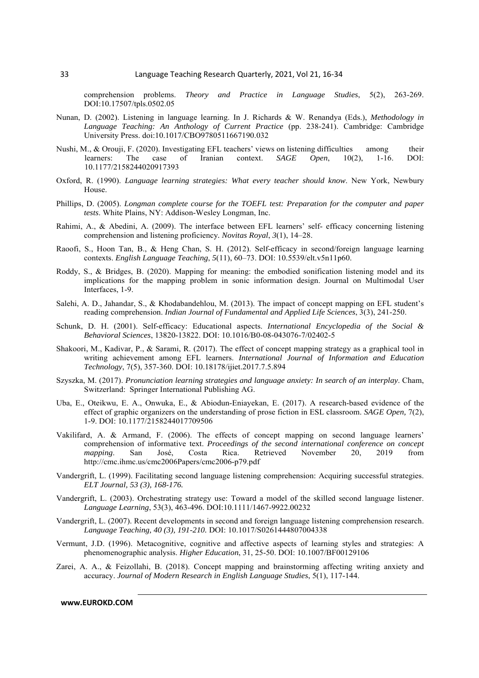comprehension problems. *Theory and Practice in Language Studies*, 5(2), 263-269. DOI:10.17507/tpls.0502.05

- Nunan, D. (2002). Listening in language learning. In J. Richards & W. Renandya (Eds.), *Methodology in Language Teaching: An Anthology of Current Practice* (pp. 238-241). Cambridge: Cambridge University Press. doi:10.1017/CBO9780511667190.032
- Nushi, M., & Orouji, F. (2020). Investigating EFL teachers' views on listening difficulties among their learners: The case of Iranian context. *SAGE Open*, 10(2), 1-16. DOI: 10.1177/2158244020917393
- Oxford, R. (1990). *Language learning strategies: What every teacher should know*. New York, Newbury House.
- Phillips, D. (2005). *Longman complete course for the TOEFL test: Preparation for the computer and paper tests*. White Plains, NY: Addison-Wesley Longman, Inc.
- Rahimi, A., & Abedini, A. (2009). The interface between EFL learners' self- efficacy concerning listening comprehension and listening proficiency*. Novitas Royal*, *3*(1), 14–28.
- Raoofi, S., Hoon Tan, B., & Heng Chan, S. H. (2012). Self-efficacy in second/foreign language learning contexts. *English Language Teaching*, *5*(11), 60–73. DOI: 10.5539/elt.v5n11p60.
- Roddy, S., & Bridges, B. (2020). Mapping for meaning: the embodied sonification listening model and its implications for the mapping problem in sonic information design. Journal on Multimodal User Interfaces, 1-9.
- Salehi, A. D., Jahandar, S., & Khodabandehlou, M. (2013). The impact of concept mapping on EFL student's reading comprehension. *Indian Journal of Fundamental and Applied Life Sciences*, 3(3), 241-250.
- Schunk, D. H. (2001). Self-efficacy: Educational aspects. *International Encyclopedia of the Social & Behavioral Sciences*, 13820-13822. DOI: 10.1016/B0-08-043076-7/02402-5
- Shakoori, M., Kadivar, P., & Sarami, R. (2017). The effect of concept mapping strategy as a graphical tool in writing achievement among EFL learners. *International Journal of Information and Education Technology*, 7(5), 357-360. DOI: 10.18178/ijiet.2017.7.5.894
- Szyszka, M. (2017). *Pronunciation learning strategies and language anxiety: In search of an interplay*. Cham, Switzerland: Springer International Publishing AG.
- Uba, E., Oteikwu, E. A., Onwuka, E., & Abiodun-Eniayekan, E. (2017). A research-based evidence of the effect of graphic organizers on the understanding of prose fiction in ESL classroom. *SAGE Open,* 7(2), 1-9. DOI: 10.1177/2158244017709506
- Vakilifard, A. & Armand, F. (2006). The effects of concept mapping on second language learners' comprehension of informative text. *Proceedings of the second international conference on concept mapping*. San José, Costa Rica. Retrieved November 20, 2019 from *mapping*. San José, Costa Rica. Retrieved November 20, 2019 from http://cmc.ihmc.us/cmc2006Papers/cmc2006-p79.pdf
- Vandergrift, L. (1999). Facilitating second language listening comprehension: Acquiring successful strategies. *ELT Journal, 53 (3), 168-176.*
- Vandergrift, L. (2003). Orchestrating strategy use: Toward a model of the skilled second language listener. *Language Learning*, 53(3), 463-496. DOI:10.1111/1467-9922.00232
- Vandergrift, L. (2007). Recent developments in second and foreign language listening comprehension research. *Language Teaching, 40 (3), 191-210.* DOI: 10.1017/S0261444807004338
- Vermunt, J.D. (1996). Metacognitive, cognitive and affective aspects of learning styles and strategies: A phenomenographic analysis. *Higher Education*, 31, 25-50. DOI: 10.1007/BF00129106
- Zarei, A. A., & Feizollahi, B. (2018). Concept mapping and brainstorming affecting writing anxiety and accuracy. *Journal of Modern Research in English Language Studies*, 5(1), 117-144.